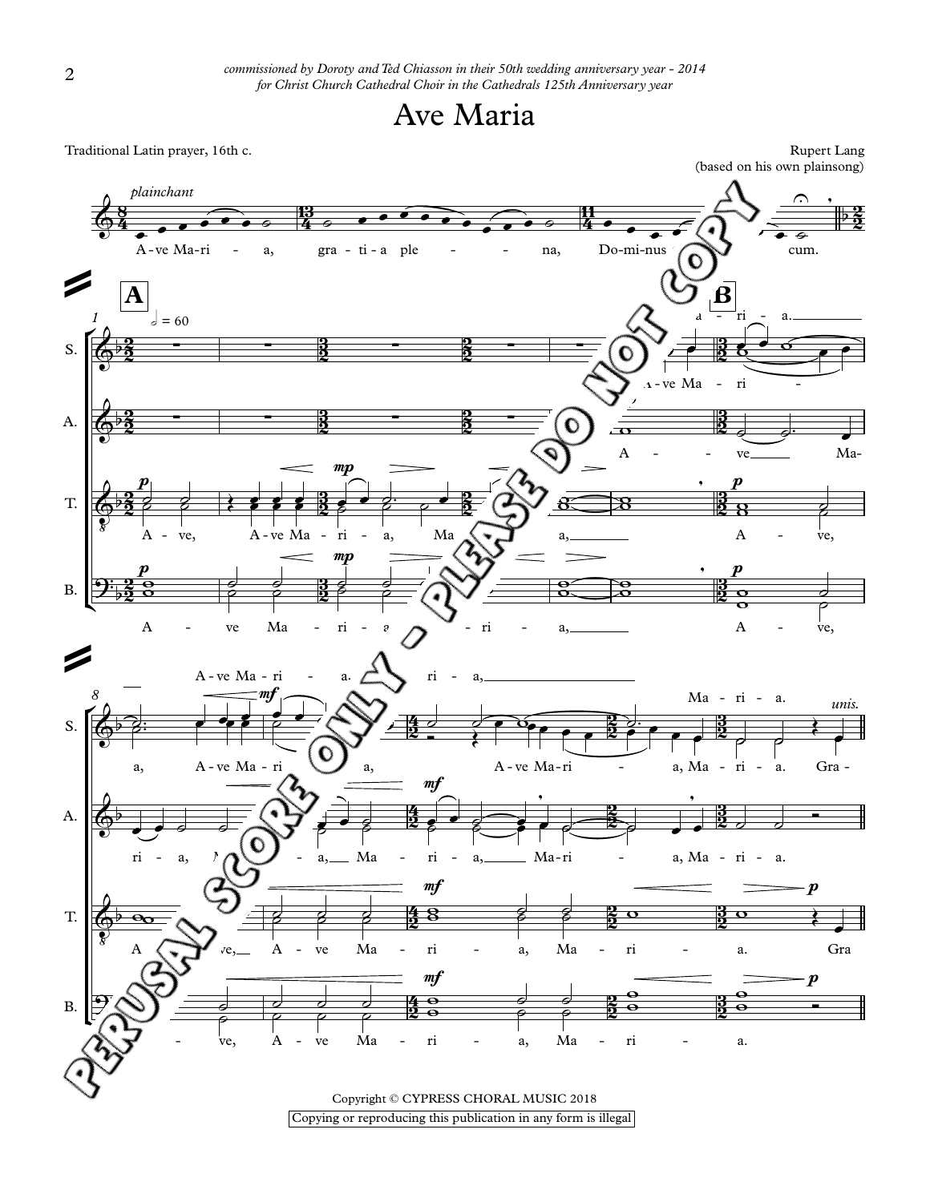



Copyright © CYPRESS CHORAL MOSIC 2018<br>Copying or reproducing this publication in any form is illegal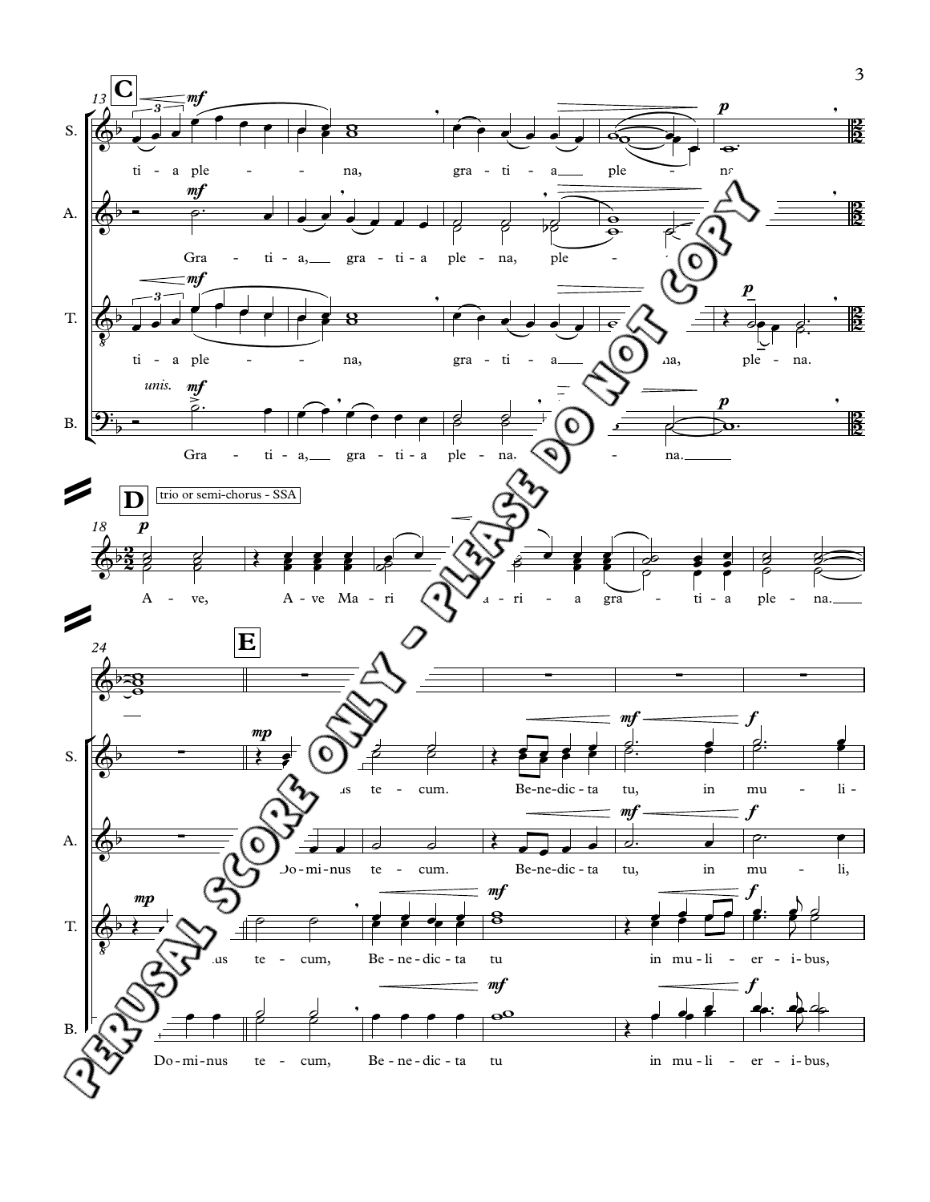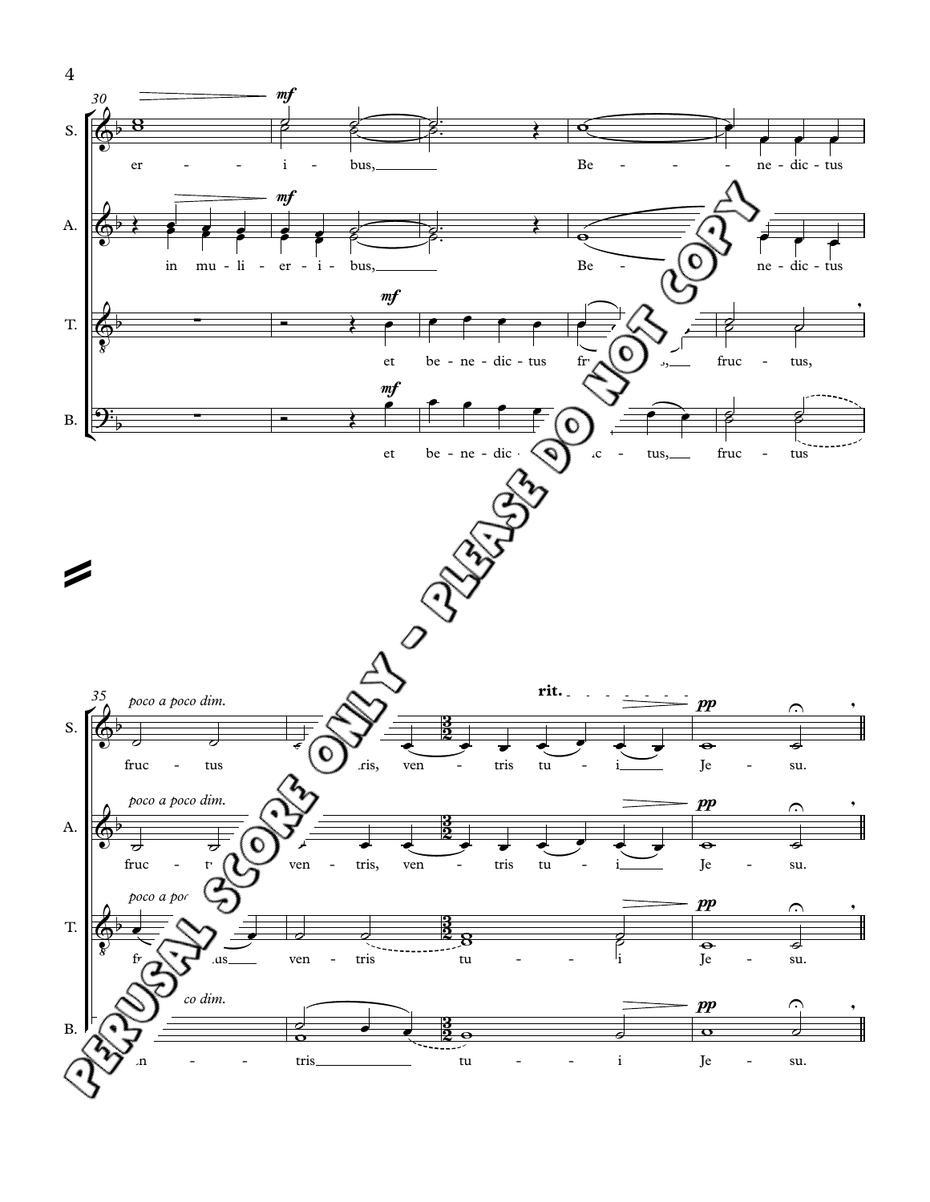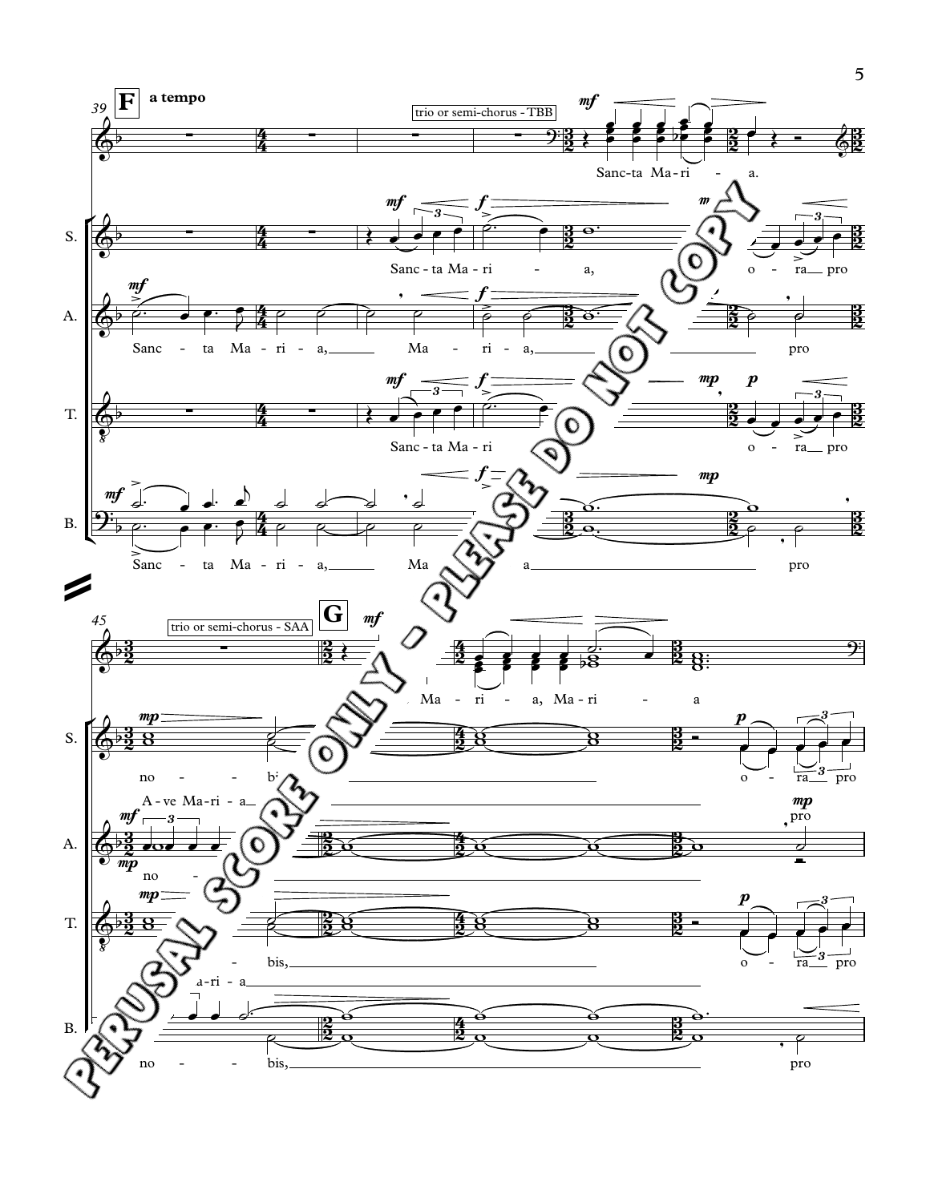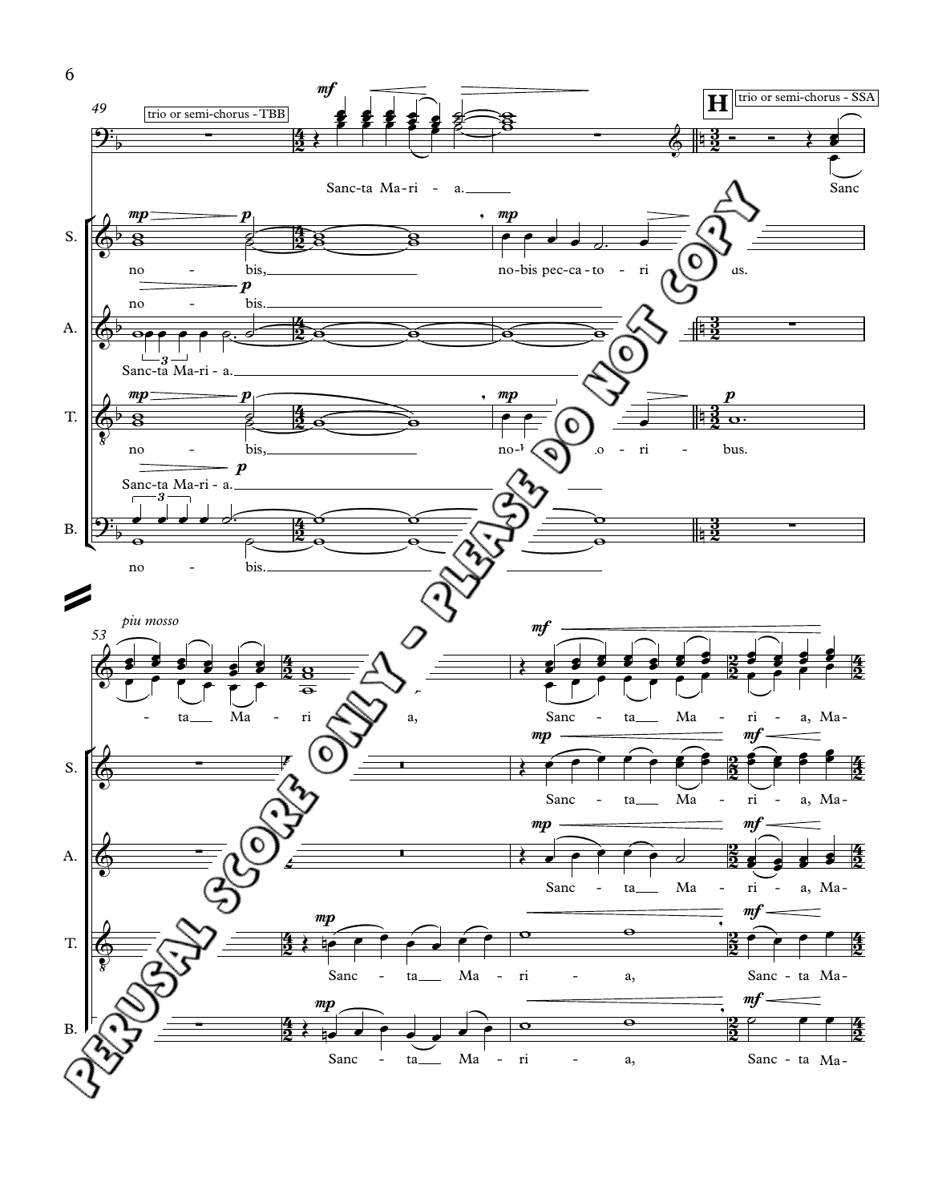

6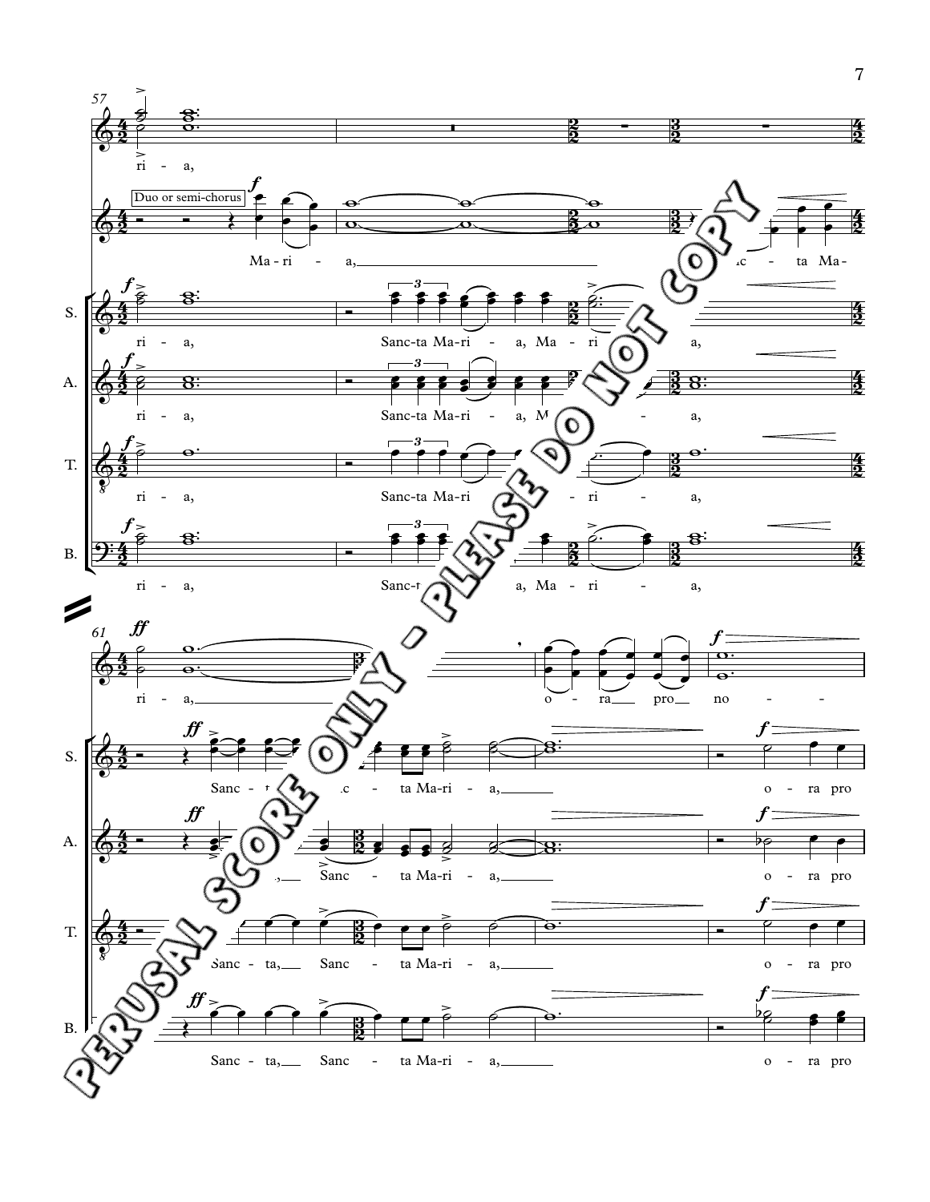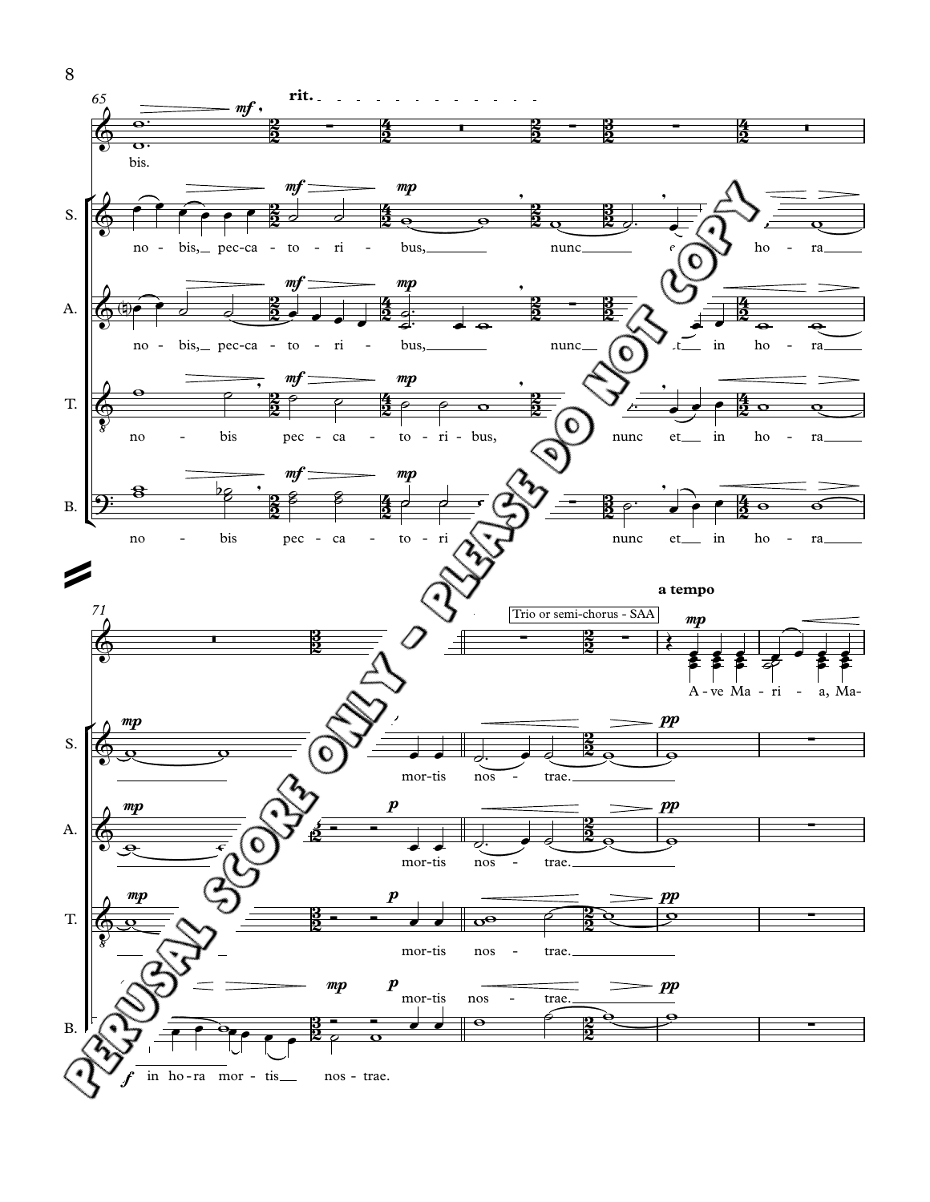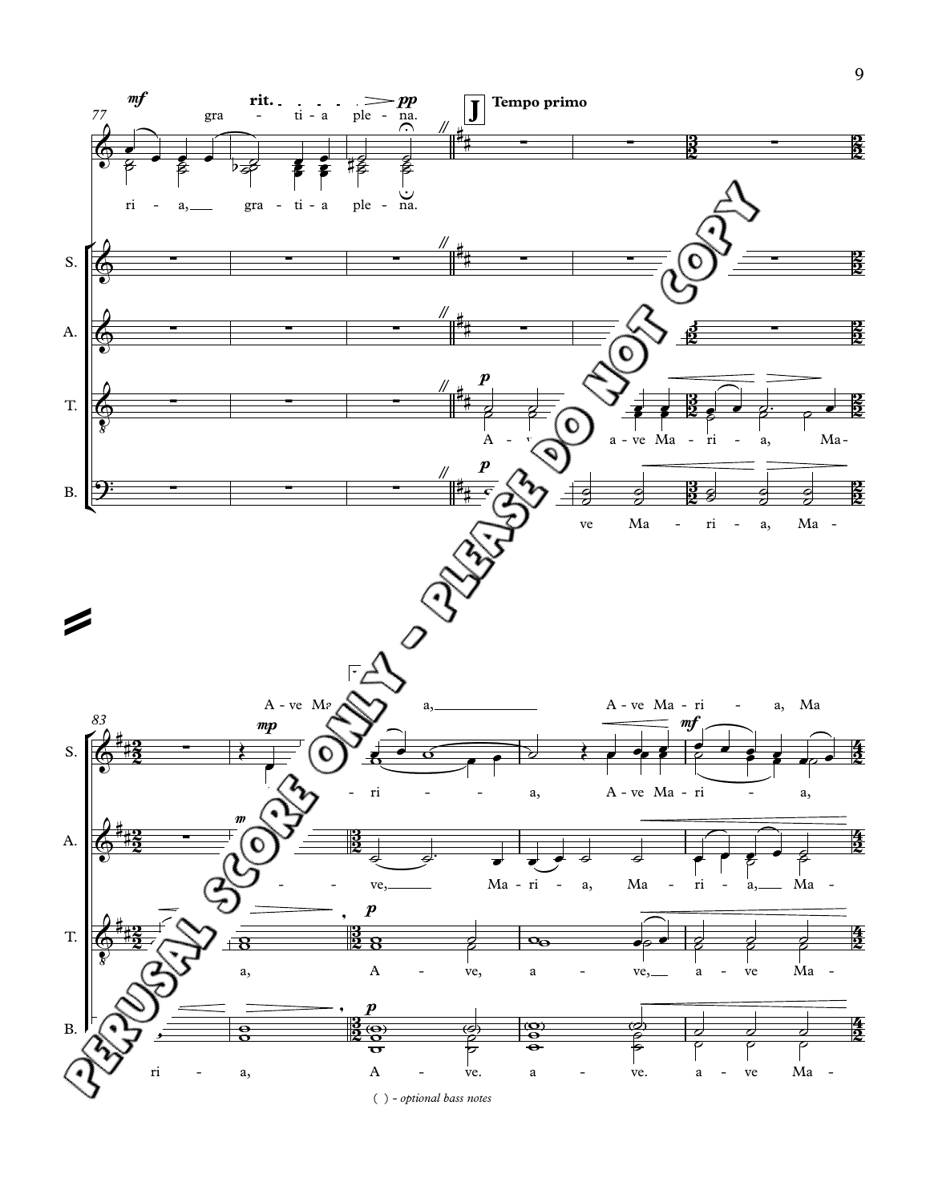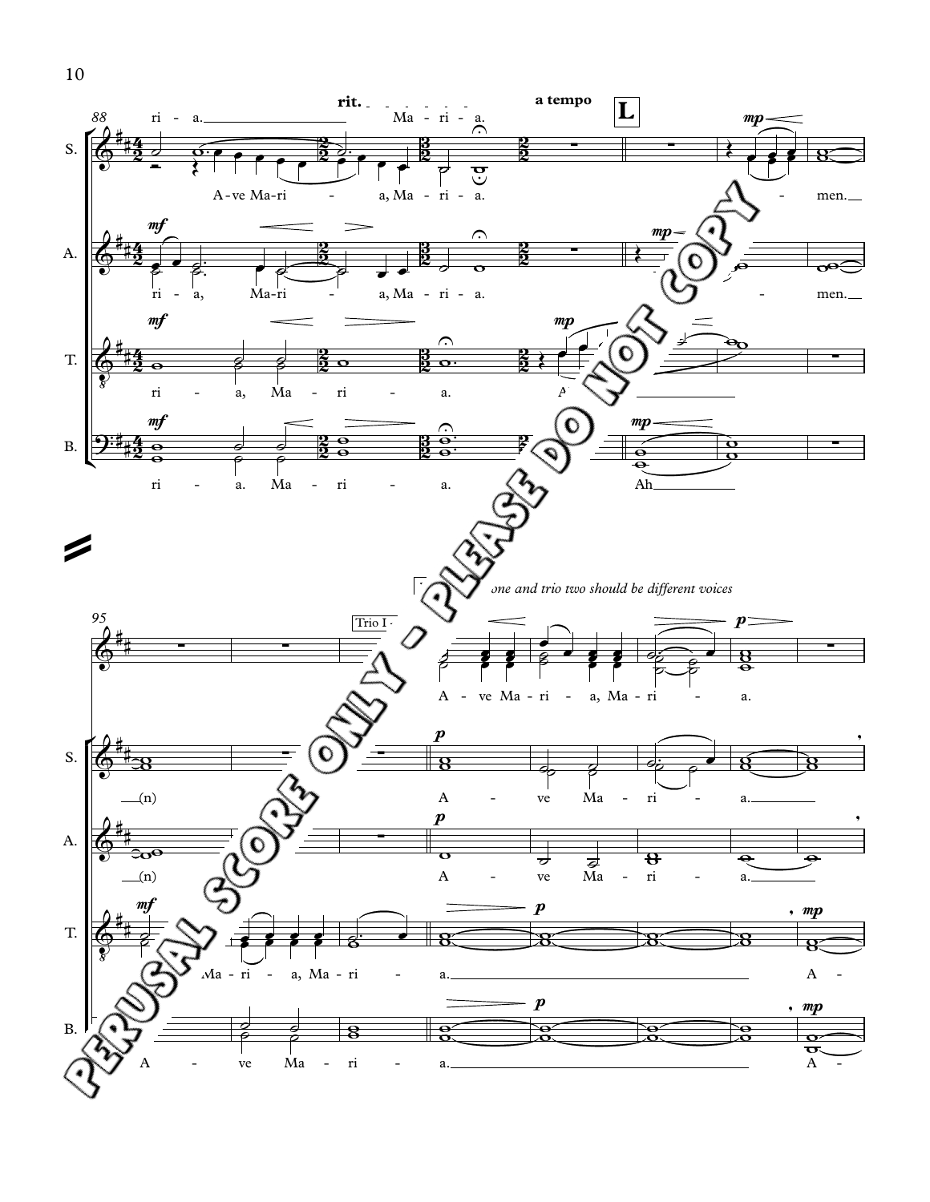

10